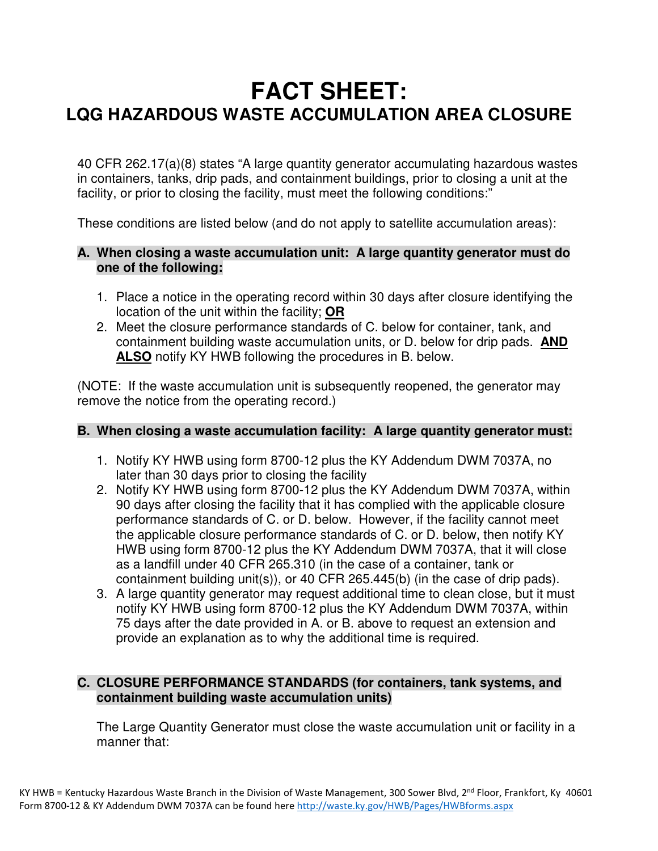# **FACT SHEET: LQG HAZARDOUS WASTE ACCUMULATION AREA CLOSURE**

40 CFR 262.17(a)(8) states "A large quantity generator accumulating hazardous wastes in containers, tanks, drip pads, and containment buildings, prior to closing a unit at the facility, or prior to closing the facility, must meet the following conditions:"

These conditions are listed below (and do not apply to satellite accumulation areas):

## **A. When closing a waste accumulation unit: A large quantity generator must do one of the following:**

- 1. Place a notice in the operating record within 30 days after closure identifying the location of the unit within the facility; **OR**
- 2. Meet the closure performance standards of C. below for container, tank, and containment building waste accumulation units, or D. below for drip pads. **AND ALSO** notify KY HWB following the procedures in B. below.

(NOTE: If the waste accumulation unit is subsequently reopened, the generator may remove the notice from the operating record.)

### **B. When closing a waste accumulation facility: A large quantity generator must:**

- 1. Notify KY HWB using form 8700-12 plus the KY Addendum DWM 7037A, no later than 30 days prior to closing the facility
- 2. Notify KY HWB using form 8700-12 plus the KY Addendum DWM 7037A, within 90 days after closing the facility that it has complied with the applicable closure performance standards of C. or D. below. However, if the facility cannot meet the applicable closure performance standards of C. or D. below, then notify KY HWB using form 8700-12 plus the KY Addendum DWM 7037A, that it will close as a landfill under 40 CFR 265.310 (in the case of a container, tank or containment building unit(s)), or 40 CFR 265.445(b) (in the case of drip pads).
- 3. A large quantity generator may request additional time to clean close, but it must notify KY HWB using form 8700-12 plus the KY Addendum DWM 7037A, within 75 days after the date provided in A. or B. above to request an extension and provide an explanation as to why the additional time is required.

## **C. CLOSURE PERFORMANCE STANDARDS (for containers, tank systems, and containment building waste accumulation units)**

The Large Quantity Generator must close the waste accumulation unit or facility in a manner that: